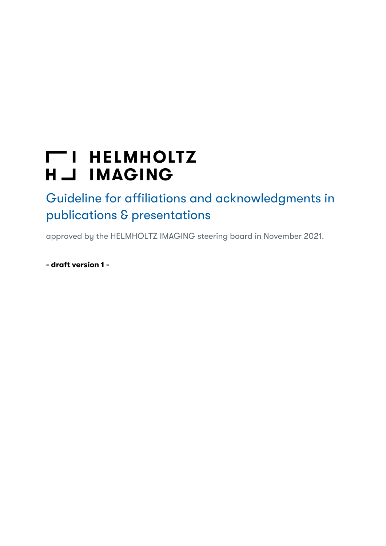# **THELMHOLTZ** H \_J IMAGING

Guideline for affiliations and acknowledgments in publications & presentations

approved by the HELMHOLTZ IMAGING steering board in November 2021.

- draft version 1 -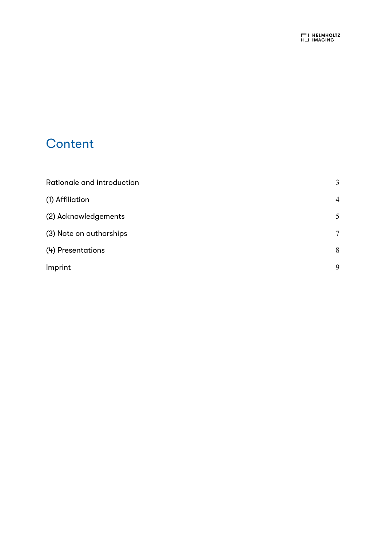### **Content**

| Rationale and introduction | 3              |
|----------------------------|----------------|
| (1) Affiliation            | $\overline{4}$ |
| (2) Acknowledgements       | 5              |
| (3) Note on authorships    | 7              |
| (4) Presentations          | 8              |
| Imprint                    | 9              |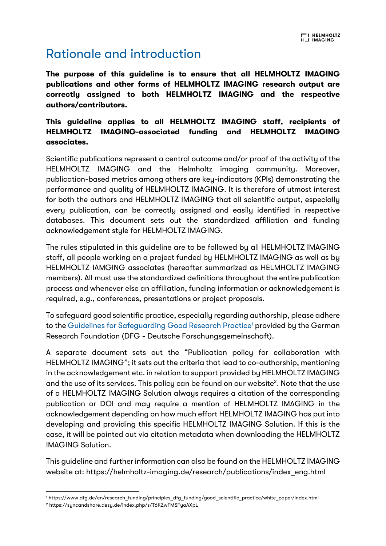### Rationale and introduction

The purpose of this guideline is to ensure that all HELMHOLTZ IMAGING publications and other forms of HELMHOLTZ IMAGING research output are correctly assigned to both HELMHOLTZ IMAGING and the respective authors/contributors.

This guideline applies to all HELMHOLTZ IMAGING staff, recipients of HELMHOLTZ IMAGING-associated funding and HELMHOLTZ IMAGING associates.

Scientific publications represent a central outcome and/or proof of the activity of the HELMHOLTZ IMAGING and the Helmholtz imaging community. Moreover, publication-based metrics among others are key-indicators (KPIs) demonstrating the performance and quality of HELMHOLTZ IMAGING. It is therefore of utmost interest for both the authors and HELMHOLTZ IMAGING that all scientific output, especially every publication, can be correctly assigned and easily identified in respective databases. This document sets out the standardized affiliation and funding acknowledgement style for HELMHOLTZ IMAGING.

The rules stipulated in this guideline are to be followed by all HELMHOLTZ IMAGING staff, all people working on a project funded by HELMHOLTZ IMAGING as well as by HELMHOLTZ IAMGING associates (hereafter summarized as HELMHOLTZ IMAGING members). All must use the standardized definitions throughout the entire publication process and whenever else an affiliation, funding information or acknowledgement is required, e.g., conferences, presentations or project proposals.

To safeguard good scientific practice, especially regarding authorship, please adhere to the Guidelines for Safeguarding Good Research Practice<sup>1</sup> provided by the German Research Foundation (DFG - Deutsche Forschungsgemeinschaft).

A separate document sets out the "Publication policy for collaboration with HELMHOLTZ IMAGING"; it sets out the criteria that lead to co-authorship, mentioning in the acknowledgement etc. in relation to support provided by HELMHOLTZ IMAGING and the use of its services. This policy can be found on our website<sup>2</sup>. Note that the use of a HELMHOLTZ IMAGING Solution always requires a citation of the corresponding publication or DOI and may require a mention of HELMHOLTZ IMAGING in the acknowledgement depending on how much effort HELMHOLTZ IMAGING has put into developing and providing this specific HELMHOLTZ IMAGING Solution. If this is the case, it will be pointed out via citation metadata when downloading the HELMHOLTZ IMAGING Solution.

This guideline and further information can also be found on the HELMHOLTZ IMAGING website at: https://helmholtz-imaging.de/research/publications/index\_eng.html

<sup>1</sup> https://www.dfg.de/en/research\_funding/principles\_dfg\_funding/good\_scientific\_practice/white\_paper/index.html

<sup>2</sup> https://syncandshare.desy.de/index.php/s/T6KZwFMSFyaAXpL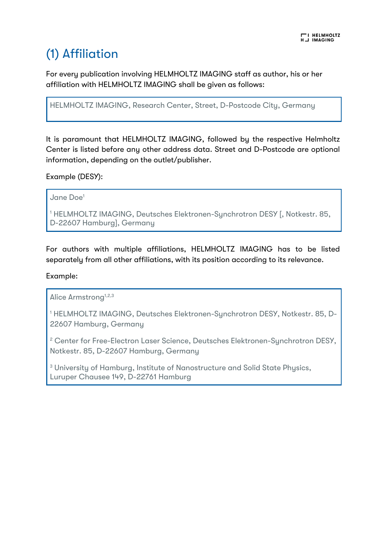### (1) Affiliation

For every publication involving HELMHOLTZ IMAGING staff as author, his or her affiliation with HELMHOLTZ IMAGING shall be given as follows:

HELMHOLTZ IMAGING, Research Center, Street, D-Postcode City, Germany

It is paramount that HELMHOLTZ IMAGING, followed by the respective Helmholtz Center is listed before any other address data. Street and D-Postcode are optional information, depending on the outlet/publisher.

Example (DESY):

Jane Doe1

<sup>1</sup> HELMHOLTZ IMAGING, Deutsches Elektronen-Synchrotron DESY [, Notkestr. 85, D-22607 Hamburg], Germany

For authors with multiple affiliations, HELMHOLTZ IMAGING has to be listed separately from all other affiliations, with its position according to its relevance.

Example:

Alice Armstrong<sup>1,2,3</sup>

<sup>1</sup> HELMHOLTZ IMAGING, Deutsches Elektronen-Synchrotron DESY, Notkestr. 85, D-22607 Hamburg, Germany

<sup>2</sup> Center for Free-Electron Laser Science, Deutsches Elektronen-Synchrotron DESY, Notkestr. 85, D-22607 Hamburg, Germany

<sup>3</sup> University of Hamburg, Institute of Nanostructure and Solid State Physics, Luruper Chausee 149, D-22761 Hamburg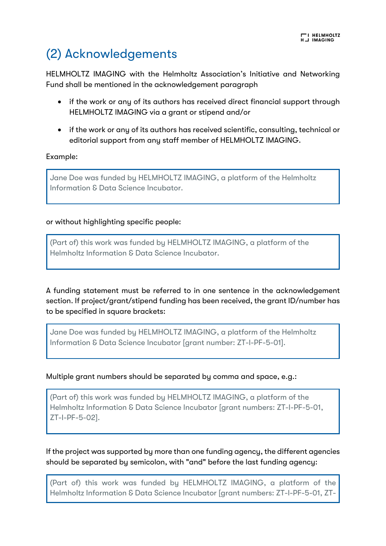### (2) Acknowledgements

HELMHOLTZ IMAGING with the Helmholtz Association's Initiative and Networking Fund shall be mentioned in the acknowledgement paragraph

- if the work or any of its authors has received direct financial support through HELMHOLTZ IMAGING via a grant or stipend and/or
- if the work or any of its authors has received scientific, consulting, technical or editorial support from any staff member of HELMHOLTZ IMAGING.

#### Example:

Jane Doe was funded by HELMHOLTZ IMAGING, a platform of the Helmholtz Information & Data Science Incubator.

#### or without highlighting specific people:

(Part of) this work was funded by HELMHOLTZ IMAGING, a platform of the Helmholtz Information & Data Science Incubator.

A funding statement must be referred to in one sentence in the acknowledgement section. If project/grant/stipend funding has been received, the grant ID/number has to be specified in square brackets:

Jane Doe was funded by HELMHOLTZ IMAGING, a platform of the Helmholtz Information & Data Science Incubator [grant number: ZT-I-PF-5-01].

#### Multiple grant numbers should be separated by comma and space, e.g.:

(Part of) this work was funded by HELMHOLTZ IMAGING, a platform of the Helmholtz Information & Data Science Incubator [grant numbers: ZT-I-PF-5-01, ZT-I-PF-5-02].

If the project was supported by more than one funding agency, the different agencies should be separated by semicolon, with "and" before the last funding agency:

(Part of) this work was funded by HELMHOLTZ IMAGING, a platform of the Helmholtz Information & Data Science Incubator [grant numbers: ZT-I-PF-5-01, ZT-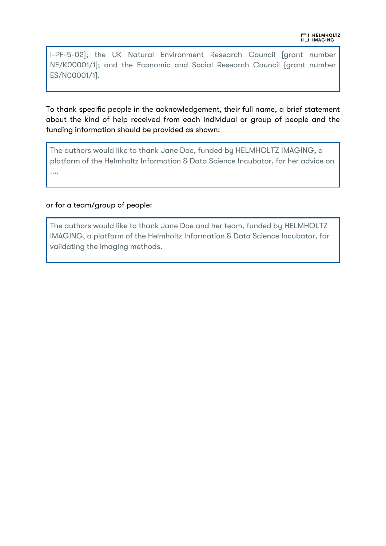I-PF-5-02]; the UK Natural Environment Research Council [grant number NE/K00001/1]; and the Economic and Social Research Council [grant number ES/N00001/1].

To thank specific people in the acknowledgement, their full name, a brief statement about the kind of help received from each individual or group of people and the funding information should be provided as shown:

The authors would like to thank Jane Doe, funded by HELMHOLTZ IMAGING, a platform of the Helmholtz Information & Data Science Incubator, for her advice on ....

#### or for a team/group of people:

The authors would like to thank Jane Doe and her team, funded by HELMHOLTZ IMAGING, a platform of the Helmholtz Information & Data Science Incubator, for validating the imaging methods.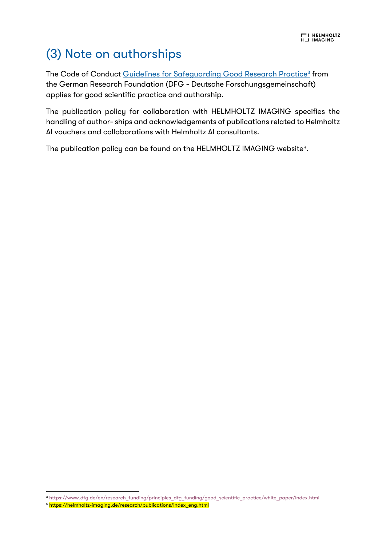### (3) Note on authorships

The Code of Conduct Guidelines for Safeguarding Good Research Practice<sup>3</sup> from the German Research Foundation (DFG - Deutsche Forschungsgemeinschaft) applies for good scientific practice and authorship.

The publication policy for collaboration with HELMHOLTZ IMAGING specifies the handling of author- ships and acknowledgements of publications related to Helmholtz AI vouchers and collaborations with Helmholtz AI consultants.

The publication policy can be found on the <code>HELMHOLTZ</code> IMAGING website $^\text{\tiny\rm{h}}$ .

<sup>3</sup> https://www.dfg.de/en/research\_funding/principles\_dfg\_funding/good\_scientific\_practice/white\_paper/index.html

<sup>4</sup> https://helmholtz-imaging.de/research/publications/index\_eng.html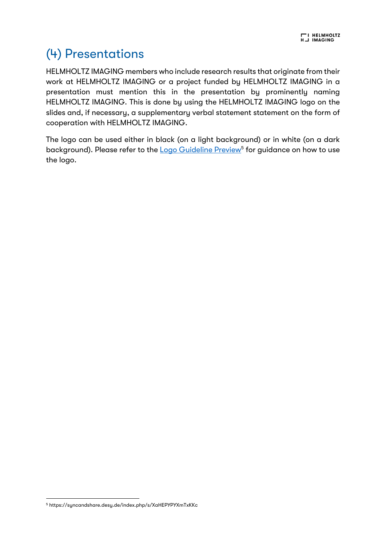## (4) Presentations

HELMHOLTZ IMAGING members who include research results that originate from their work at HELMHOLTZ IMAGING or a project funded by HELMHOLTZ IMAGING in a presentation must mention this in the presentation by prominently naming HELMHOLTZ IMAGING. This is done by using the HELMHOLTZ IMAGING logo on the slides and, if necessary, a supplementary verbal statement statement on the form of cooperation with HELMHOLTZ IMAGING.

The logo can be used either in black (on a light background) or in white (on a dark background). Please refer to the **Logo Guideline Preview<sup>5</sup>** for guidance on how to use the logo.

<sup>5</sup> https://syncandshare.desy.de/index.php/s/XaHEPYPYXmTxKKc